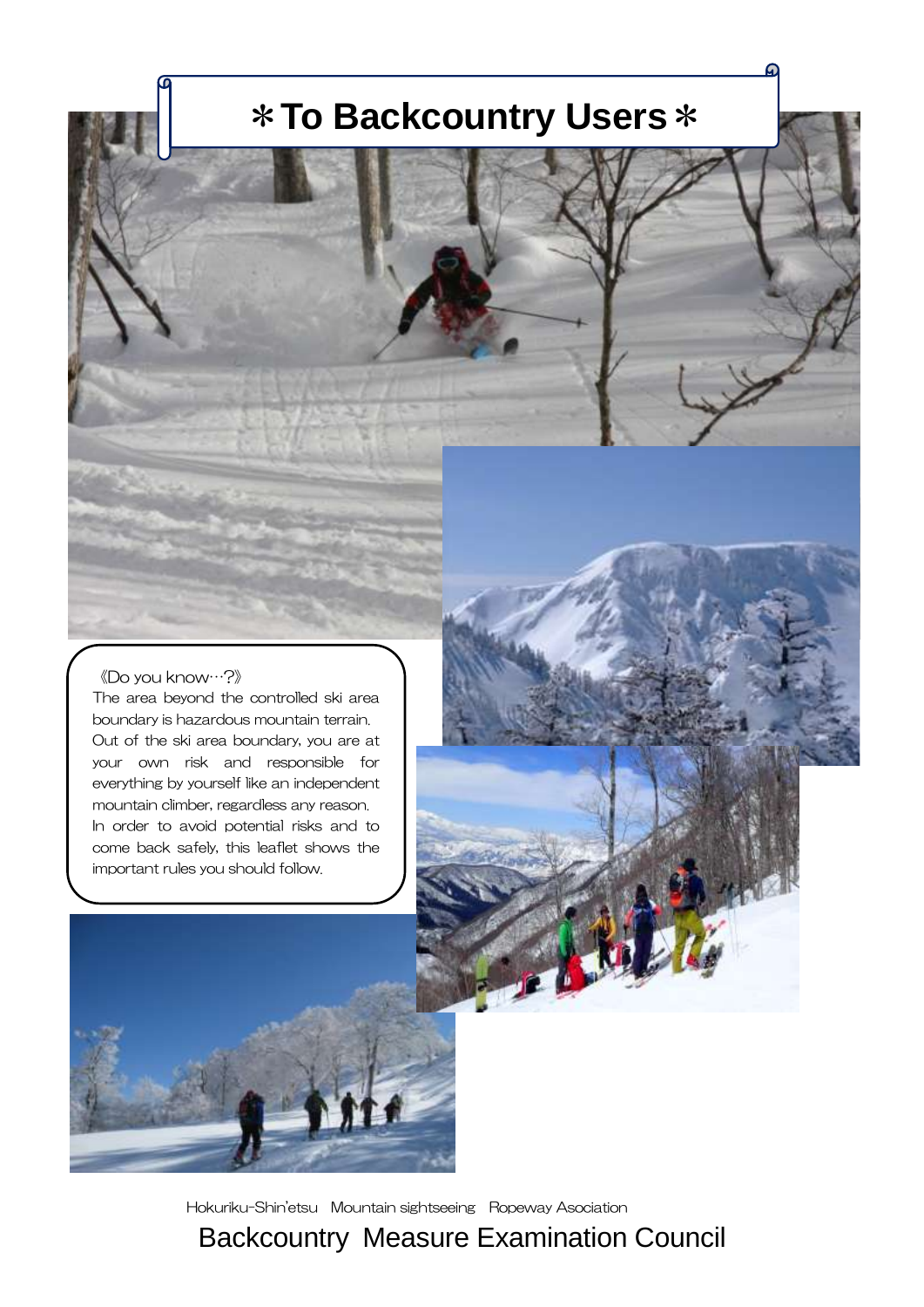# \***To Backcountry Users**\*

#### 《Do you know…?》

The area beyond the controlled ski area boundary is hazardous mountain terrain. Out of the ski area boundary, you are at your own risk and responsible for everything by yourself like an independent mountain climber, regardless any reason. In order to avoid potential risks and to come back safely, this leaflet shows the important rules you should follow.



Hokuriku-Shin'etsu Mountain sightseeing Ropeway Asociation

Backcountry Measure Examination Council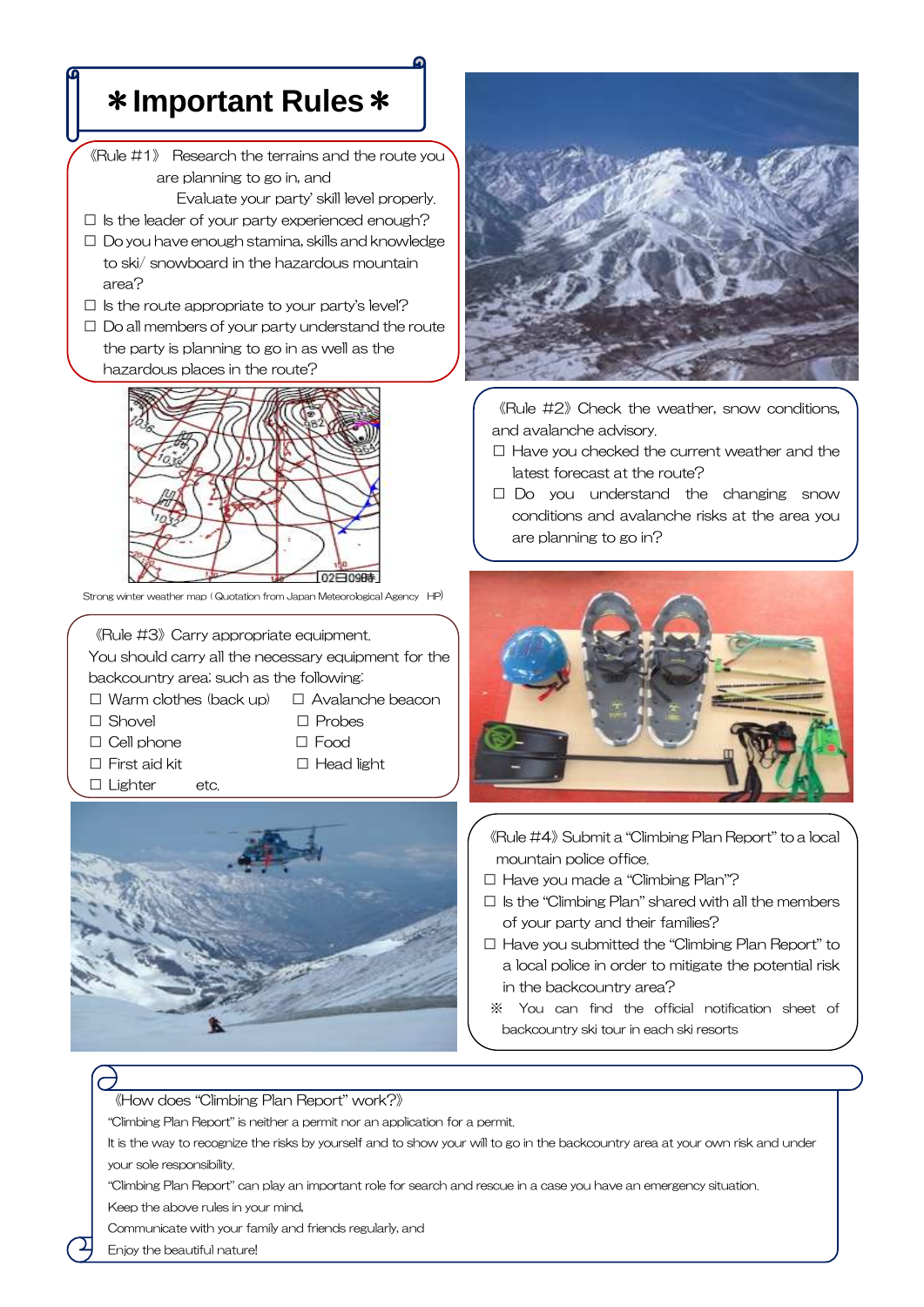## \***Important Rules**\*

- 《Rule #1》 Research the terrains and the route you are planning to go in, and
	- Evaluate your party' skill level properly.
- $\square$  Is the leader of your party experienced enough?
- □ Do you have enough stamina, skills and knowledge to ski/ snowboard in the hazardous mountain area?
- $\square$  is the route appropriate to your party's level?
- $\Box$  Do all members of your party understand the route the party is planning to go in as well as the hazardous places in the route?



Strong winter weather map ( Quotation from Japan Meteorological Agency HP)

《Rule #3》Carry appropriate equipment.

You should carry all the necessary equipment for the backcountry area; such as the following: -

- □ Warm clothes (back up) □ Avalanche beacon
- 
- □ Shovel □ Probes
- □ Cell phone □ Food
	-
- □ First aid kit □ Head light
- □ Lighter etc.





《Rule #2》Check the weather, snow conditions, and avalanche advisory.

- □ Have you checked the current weather and the latest forecast at the route?
- □ Do you understand the changing snow conditions and avalanche risks at the area you are planning to go in?



《Rule #4》Submit a "Climbing Plan Report" to a local mountain police office.

- □ Have you made a "Climbing Plan"?
- $\Box$  Is the "Climbing Plan" shared with all the members of your party and their families?
- □ Have you submitted the "Climbing Plan Report" to a local police in order to mitigate the potential risk in the backcountry area?
- ※ You can find the official notification sheet of backcountry ski tour in each ski resorts

#### 《How does "Climbing Plan Report" work?》

"Climbing Plan Report" is neither a permit nor an application for a permit.

It is the way to recognize the risks by yourself and to show your will to go in the backcountry area at your own risk and under your sole responsibility.

"Climbing Plan Report" can play an important role for search and rescue in a case you have an emergency situation. Keep the above rules in your mind,

Communicate with your family and friends regularly, and

Enjoy the beautiful nature!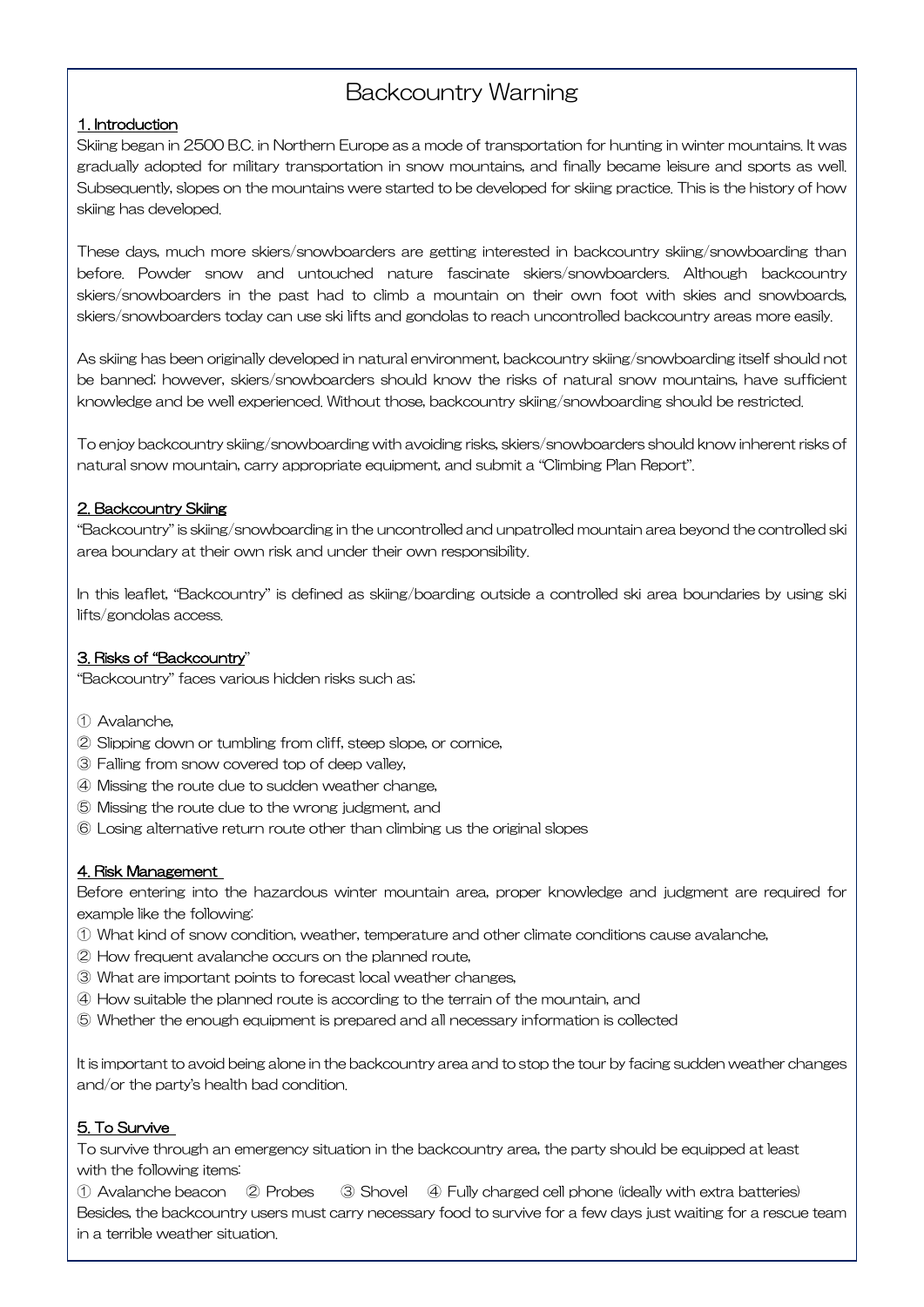### Backcountry Warning

#### 1. Introduction

Skiing began in 2500 B.C. in Northern Europe as a mode of transportation for hunting in winter mountains. It was gradually adopted for military transportation in snow mountains, and finally became leisure and sports as well. Subsequently, slopes on the mountains were started to be developed for skiing practice. This is the history of how skiing has developed.

These days, much more skiers/snowboarders are getting interested in backcountry skiing/snowboarding than before. Powder snow and untouched nature fascinate skiers/snowboarders. Although backcountry skiers/snowboarders in the past had to climb a mountain on their own foot with skies and snowboards, skiers/snowboarders today can use ski lifts and gondolas to reach uncontrolled backcountry areas more easily.

As skiing has been originally developed in natural environment, backcountry skiing/snowboarding itself should not be banned; however, skiers/snowboarders should know the risks of natural snow mountains, have sufficient knowledge and be well experienced. Without those, backcountry skiing/snowboarding should be restricted.

To enjoy backcountry skiing/snowboarding with avoiding risks, skiers/snowboarders should know inherent risks of natural snow mountain, carry appropriate equipment, and submit a "Climbing Plan Report".

#### 2. Backcountry Skiing

"Backcountry" is skiing/snowboarding in the uncontrolled and unpatrolled mountain area beyond the controlled ski area boundary at their own risk and under their own responsibility.

In this leaflet, "Backcountry" is defined as skiing/boarding outside a controlled ski area boundaries by using ski lifts/gondolas access.

#### 3. Risks of "Backcountry"

"Backcountry" faces various hidden risks such as;

- ① Avalanche,
- ② Slipping down or tumbling from cliff, steep slope, or cornice,
- ③ Falling from snow covered top of deep valley,
- ④ Missing the route due to sudden weather change,
- ⑤ Missing the route due to the wrong judgment, and
- ⑥ Losing alternative return route other than climbing us the original slopes

#### 4. Risk Management

Before entering into the hazardous winter mountain area, proper knowledge and judgment are required for example like the following:

- ① What kind of snow condition, weather, temperature and other climate conditions cause avalanche,
- ② How frequent avalanche occurs on the planned route,
- ③ What are important points to forecast local weather changes,
- ④ How suitable the planned route is according to the terrain of the mountain, and
- ⑤ Whether the enough equipment is prepared and all necessary information is collected

It is important to avoid being alone in the backcountry area and to stop the tour by facing sudden weather changes and/or the party's health bad condition.

#### 5. To Survive

To survive through an emergency situation in the backcountry area, the party should be equipped at least with the following items:

① Avalanche beacon ② Probes ③ Shovel ④ Fully charged cell phone (ideally with extra batteries) Besides, the backcountry users must carry necessary food to survive for a few days just waiting for a rescue team in a terrible weather situation.